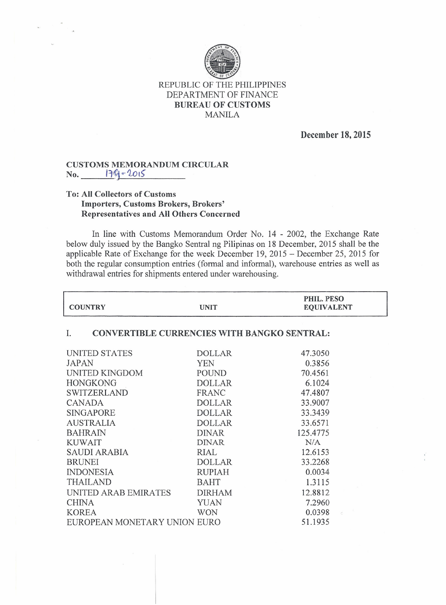

REPUBLIC OF THE PHILIPPINES DEPARTMENT OF FINANCE **BUREAU OF CUSTOMS** MANILA

**December 18, 2015**

## **CUSTOMS MEMORANDUM CIRCULAR** No. 179-2015

## **To: All Collectors of Customs Importers, Customs Brokers, Brokers' Representatives and All Others Concerned**

In line with Customs Memorandum Order No. 14 - 2002, the Exchange Rate below duly issued by the Bangko Sentral ng Pilipinas on 18 December, 2015 shall be the applicable Rate of Exchange for the week December 19, 2015 - December 25, 2015 for both the regular consumption entries (formal and informal), warehouse entries as well as withdrawal entries for shipments entered under warehousing.

| <b>COUNTRY</b>                                           | <b>UNIT</b>   | PHIL. PESO<br><b>EQUIVALENT</b> |  |
|----------------------------------------------------------|---------------|---------------------------------|--|
| <b>CONVERTIBLE CURRENCIES WITH BANGKO SENTRAL:</b><br>Ι. |               |                                 |  |
| UNITED STATES                                            | <b>DOLLAR</b> | 47.3050                         |  |
| <b>JAPAN</b>                                             | <b>YEN</b>    | 0.3856                          |  |
| UNITED KINGDOM                                           | <b>POUND</b>  | 70.4561                         |  |
| <b>HONGKONG</b>                                          | <b>DOLLAR</b> | 6.1024                          |  |
| <b>SWITZERLAND</b>                                       | FRANC         | 47.4807                         |  |
| <b>CANADA</b>                                            | <b>DOLLAR</b> | 33.9007                         |  |
| <b>SINGAPORE</b>                                         | <b>DOLLAR</b> | 33.3439                         |  |
| <b>AUSTRALIA</b>                                         | <b>DOLLAR</b> | 33.6571                         |  |
| <b>BAHRAIN</b>                                           | <b>DINAR</b>  | 125.4775                        |  |
| <b>KUWAIT</b>                                            | <b>DINAR</b>  | N/A                             |  |
| <b>SAUDI ARABIA</b>                                      | RIAL          | 12.6153                         |  |
| <b>BRUNEI</b>                                            | <b>DOLLAR</b> | 33.2268                         |  |
| <b>INDONESIA</b>                                         | <b>RUPIAH</b> | 0.0034                          |  |
| <b>THAILAND</b>                                          | <b>BAHT</b>   | 1.3115                          |  |
| UNITED ARAB EMIRATES                                     | <b>DIRHAM</b> | 12.8812                         |  |
| <b>CHINA</b>                                             | <b>YUAN</b>   | 7.2960                          |  |
| <b>KOREA</b>                                             | <b>WON</b>    | 0.0398<br>$\hat{\mathcal{C}}$   |  |
| EUROPEAN MONETARY UNION EURO                             |               | 51.1935                         |  |